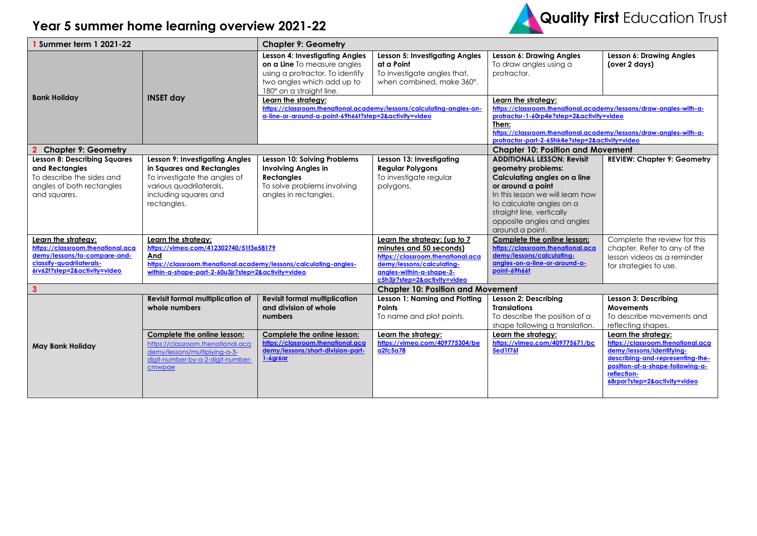## **Year 5 summer home learning overview 2021-22**



| Summer term 1 2021-22                                                                                                                                |                                                                                                                                                                                                 | <b>Chapter 9: Geometry</b>                                                                                                                                 |                                                                                                                                                                                       |                                                                                                                                                                                                                                                                       |                                                                                                                                                                                                              |  |  |
|------------------------------------------------------------------------------------------------------------------------------------------------------|-------------------------------------------------------------------------------------------------------------------------------------------------------------------------------------------------|------------------------------------------------------------------------------------------------------------------------------------------------------------|---------------------------------------------------------------------------------------------------------------------------------------------------------------------------------------|-----------------------------------------------------------------------------------------------------------------------------------------------------------------------------------------------------------------------------------------------------------------------|--------------------------------------------------------------------------------------------------------------------------------------------------------------------------------------------------------------|--|--|
|                                                                                                                                                      |                                                                                                                                                                                                 | Lesson 4: Investigating Angles<br>on a Line To measure angles<br>using a protractor. To identify<br>two angles which add up to<br>180° on a straight line. | Lesson 5: Investigating Angles<br>at a Point<br>To investigate angles that,<br>when combined, make 360°.                                                                              | Lesson 6: Drawing Angles<br>To draw angles using a<br>protractor.                                                                                                                                                                                                     | Lesson 6: Drawing Angles<br>(over 2 days)                                                                                                                                                                    |  |  |
| <b>Bank Holiday</b>                                                                                                                                  | <b>INSET day</b>                                                                                                                                                                                | Learn the strategy:<br>https://classroom.thenational.academy/lessons/calculating-angles-on-<br>a-line-or-around-a-point-69h66t?step=2&activity=video       |                                                                                                                                                                                       | Learn the strategy:<br>https://classroom.thenational.academy/lessons/draw-angles-with-a-<br>protractor-1-60rp4e?step=2&activity=video<br>Then:<br>https://classroom.thenational.academy/lessons/draw-anales-with-a-<br>protractor-part-2-65hk4e?step=2&activity=video |                                                                                                                                                                                                              |  |  |
| <b>Chapter 9: Geometry</b>                                                                                                                           |                                                                                                                                                                                                 |                                                                                                                                                            |                                                                                                                                                                                       |                                                                                                                                                                                                                                                                       | <b>Chapter 10: Position and Movement</b>                                                                                                                                                                     |  |  |
| <b>Lesson 8: Describing Squares</b><br>and Rectangles<br>To describe the sides and<br>angles of both rectangles<br>and squares.                      | Lesson 9: Investigating Angles<br>in Squares and Rectangles<br>To investigate the angles of<br>various quadrilaterals,<br>including squares and<br>rectangles.                                  | Lesson 10: Solving Problems<br><b>Involving Angles in</b><br><b>Rectangles</b><br>To solve problems involving<br>angles in rectangles.                     | Lesson 13: Investigating<br><b>Regular Polygons</b><br>To investigate regular<br>polygons.                                                                                            | <b>ADDITIONAL LESSON: Revisit</b><br>geometry problems:<br>Calculating angles on a line<br>or around a point<br>In this lesson we will learn how<br>to calculate angles on a<br>straight line, vertically<br>opposite angles and angles<br>around a point.            | <b>REVIEW: Chapter 9: Geometry</b>                                                                                                                                                                           |  |  |
| Learn the strategy:<br>https://classroom.thenational.aca<br>demy/lessons/to-compare-and-<br>classify-quadrilaterals-<br>6rv62t?step=2&activity=video | Learn the strategy:<br>https://vimeo.com/412302740/51f3e58179<br>And<br>https://classroom.thenational.academy/lessons/calculating-angles-<br>within-a-shape-part-2-60u3jr?step=2&activity=video |                                                                                                                                                            | Learn the strategy: (up to 7<br>minutes and 50 seconds)<br>https://classroom.thenational.aca<br>demy/lessons/calculating-<br>angles-within-a-shape-3-<br>c5h3jr?step=2&activity=video | Complete the online lesson:<br>https://classroom.thenational.aca<br>demy/lessons/calculating-<br>angles-on-a-line-or-around-a-<br>point-69h66t                                                                                                                        | Complete the review for this<br>chapter. Refer to any of the<br>lesson videos as a reminder<br>for strategies to use.                                                                                        |  |  |
| $\mathbf{3}$                                                                                                                                         |                                                                                                                                                                                                 |                                                                                                                                                            | <b>Chapter 10: Position and Movement</b>                                                                                                                                              |                                                                                                                                                                                                                                                                       |                                                                                                                                                                                                              |  |  |
|                                                                                                                                                      | <b>Revisit formal multiplication of</b><br>whole numbers                                                                                                                                        | <b>Revisit formal multiplication</b><br>and division of whole<br>numbers                                                                                   | Lesson 1: Naming and Plotting<br>Points<br>To name and plot points.                                                                                                                   | Lesson 2: Describing<br><b>Translations</b><br>To describe the position of a<br>shape following a translation.                                                                                                                                                        | Lesson 3: Describing<br><b>Movements</b><br>To describe movements and<br>reflecting shapes.                                                                                                                  |  |  |
| May Bank Holiday                                                                                                                                     | Complete the online lesson:<br>https://classroom.thenational.aca<br>demy/lessons/multiplying-a-3-<br>digit-number-by-a-2-digit-number-<br>cmwpae                                                | Complete the online lesson:<br>https://classroom.thenational.aca<br>demy/lessons/short-division-part-<br>$1-6$ gróar                                       | Learn the strategy:<br>https://vimeo.com/409775304/be<br>a2fc5a78                                                                                                                     | Learn the strategy:<br>https://vimeo.com/409775671/bc<br><b>5ed1f76f</b>                                                                                                                                                                                              | Learn the strategy:<br>https://classroom.thenational.aca<br>demy/lessons/identifying-<br>describing-and-representing-the-<br>position-of-a-shape-following-a-<br>reflection-<br>68rpar?step=2&activity=video |  |  |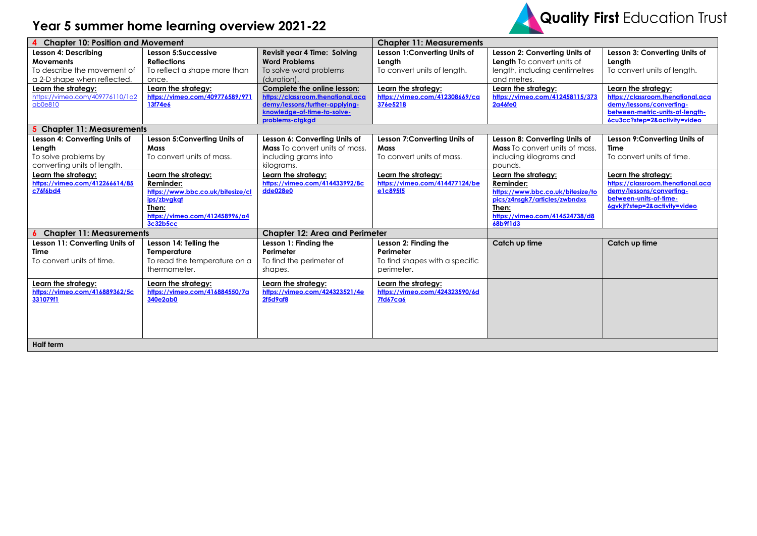## **Year 5 summer home learning overview 2021-22**



| <b>Chapter 10: Position and Movement</b>                                                               |                                                                                                                                             |                                                                                                                                                      | <b>Chapter 11: Measurements</b>                                                    |                                                                                                                                                               |                                                                                                                                                         |
|--------------------------------------------------------------------------------------------------------|---------------------------------------------------------------------------------------------------------------------------------------------|------------------------------------------------------------------------------------------------------------------------------------------------------|------------------------------------------------------------------------------------|---------------------------------------------------------------------------------------------------------------------------------------------------------------|---------------------------------------------------------------------------------------------------------------------------------------------------------|
| Lesson 4: Describing<br><b>Movements</b><br>To describe the movement of<br>a 2-D shape when reflected. | Lesson 5:Successive<br><b>Reflections</b><br>To reflect a shape more than<br>once.                                                          | <b>Revisit year 4 Time: Solving</b><br><b>Word Problems</b><br>To solve word problems<br>(duration).                                                 | Lesson 1: Converting Units of<br>Length<br>To convert units of length.             | Lesson 2: Converting Units of<br>Length To convert units of<br>length, including centimetres<br>and metres.                                                   | Lesson 3: Converting Units of<br>Length<br>To convert units of length.                                                                                  |
| Learn the strategy:<br>https://vimeo.com/409776110/1a2<br>ab0e810                                      | Learn the strategy:<br>https://vimeo.com/409776589/971<br>13f74e6                                                                           | Complete the online lesson:<br>https://classroom.thenational.aca<br>demy/lessons/further-applying-<br>knowledge-of-time-to-solve-<br>problems-ctgkgd | Learn the strategy:<br>https://vimeo.com/412308669/ca<br>376e5218                  | Learn the strategy:<br>https://vimeo.com/412458115/373<br>2a46fe0                                                                                             | Learn the strategy:<br>https://classroom.thenational.aca<br>demy/lessons/converting-<br>between-metric-units-of-length-<br>6cu3cc?step=2&activity=video |
| <b>Chapter 11: Measurements</b>                                                                        |                                                                                                                                             |                                                                                                                                                      |                                                                                    |                                                                                                                                                               |                                                                                                                                                         |
| Lesson 4: Converting Units of<br>Length<br>To solve problems by<br>converting units of length.         | Lesson 5: Converting Units of<br>Mass<br>To convert units of mass.                                                                          | Lesson 6: Converting Units of<br><b>Mass</b> To convert units of mass.<br>including grams into<br>kilograms.                                         | Lesson 7: Converting Units of<br>Mass<br>To convert units of mass.                 | Lesson 8: Converting Units of<br><b>Mass</b> To convert units of mass.<br>including kilograms and<br>pounds.                                                  | Lesson 9:Converting Units of<br><b>Time</b><br>To convert units of time.                                                                                |
| Learn the strategy:<br>https://vimeo.com/412266614/85<br>c76f6bd4                                      | Learn the strategy:<br>Reminder:<br>https://www.bbc.co.uk/bitesize/cl<br>ips/zbvgkat<br>Then:<br>https://vimeo.com/412458996/a4<br>3c32b5cc | Learn the strategy:<br>https://vimeo.com/414433992/8c<br>dde028e0                                                                                    | Learn the strategy:<br>https://vimeo.com/414477124/be<br>e1c895f5                  | Learn the strategy:<br>Reminder:<br>https://www.bbc.co.uk/bitesize/to<br>pics/z4nsgk7/articles/zwbndxs<br>Then:<br>https://vimeo.com/414524738/d8<br>68b9f1d3 | Learn the strategy:<br>https://classroom.thenational.aca<br>demy/lessons/converting-<br>between-units-of-time-<br>6gvkjt?step=2&activity=video          |
| <b>Chapter 11: Measurements</b>                                                                        |                                                                                                                                             | <b>Chapter 12: Area and Perimeter</b>                                                                                                                |                                                                                    |                                                                                                                                                               |                                                                                                                                                         |
| Lesson 11: Converting Units of<br>Time<br>To convert units of time.                                    | Lesson 14: Telling the<br>Temperature<br>To read the temperature on a<br>thermometer.                                                       | Lesson 1: Finding the<br>Perimeter<br>To find the perimeter of<br>shapes.                                                                            | Lesson 2: Finding the<br>Perimeter<br>To find shapes with a specific<br>perimeter. | Catch up time                                                                                                                                                 | Catch up time                                                                                                                                           |
| Learn the strategy:<br>https://vimeo.com/416889362/5c<br>331079f1                                      | Learn the strategy:<br>https://vimeo.com/416884550/7a<br>340e2ab0                                                                           | Learn the strategy:<br>https://vimeo.com/424323521/4e<br>2f5d9af8                                                                                    | Learn the strategy:<br>https://vimeo.com/424323590/6d<br><b>7fd67ca6</b>           |                                                                                                                                                               |                                                                                                                                                         |
| <b>Half term</b>                                                                                       |                                                                                                                                             |                                                                                                                                                      |                                                                                    |                                                                                                                                                               |                                                                                                                                                         |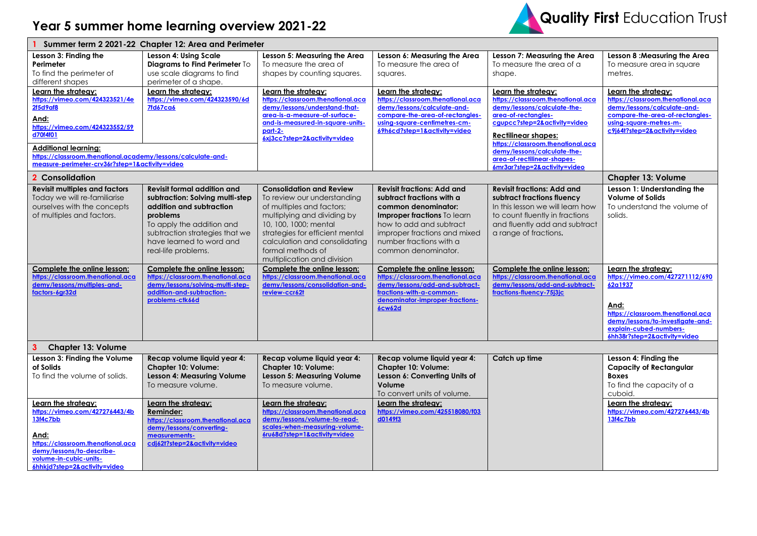

| Summer term 2 2021-22 Chapter 12: Area and Perimeter                                                                                                                                                                                                                     |                                                                                                                                                                                                                                 |                                                                                                                                                                                                                                                                             |                                                                                                                                                                                                                                   |                                                                                                                                                                                                                                                                                 |                                                                                                                                                                                                              |  |  |
|--------------------------------------------------------------------------------------------------------------------------------------------------------------------------------------------------------------------------------------------------------------------------|---------------------------------------------------------------------------------------------------------------------------------------------------------------------------------------------------------------------------------|-----------------------------------------------------------------------------------------------------------------------------------------------------------------------------------------------------------------------------------------------------------------------------|-----------------------------------------------------------------------------------------------------------------------------------------------------------------------------------------------------------------------------------|---------------------------------------------------------------------------------------------------------------------------------------------------------------------------------------------------------------------------------------------------------------------------------|--------------------------------------------------------------------------------------------------------------------------------------------------------------------------------------------------------------|--|--|
| Lesson 3: Finding the<br>Perimeter<br>To find the perimeter of<br>different shapes                                                                                                                                                                                       | Lesson 4: Using Scale<br>Diagrams to Find Perimeter To<br>use scale diagrams to find<br>perimeter of a shape.                                                                                                                   | Lesson 5: Measuring the Area<br>To measure the area of<br>shapes by counting squares.                                                                                                                                                                                       | Lesson 6: Measuring the Area<br>To measure the area of<br>squares.                                                                                                                                                                | Lesson 7: Measuring the Area<br>To measure the area of a<br>shape.                                                                                                                                                                                                              | Lesson 8: Measuring the Area<br>To measure area in square<br>metres.                                                                                                                                         |  |  |
| Learn the strategy:<br>https://vimeo.com/424323521/4e<br>2f5d9af8<br>And:<br>https://vimeo.com/424323552/59<br>d70f4f01<br><b>Additional learning:</b><br>https://classroom.thenational.academy/lessons/calculate-and-<br>measure-perimeter-cry36r?step=1&activity=video | Learn the strategy:<br>https://vimeo.com/424323590/6d<br><b>7fd67ca6</b>                                                                                                                                                        | Learn the strategy:<br>https://classroom.thenational.aca<br>demy/lessons/understand-that-<br>area-is-a-measure-of-surface-<br>and-is-measured-in-square-units-<br>part-2-<br>6xj3cc?step=2&activity=video                                                                   | Learn the strategy:<br>https://classroom.thenational.aca<br>demy/lessons/calculate-and-<br>compare-the-area-of-rectangles-<br>using-square-centimetres-cm-<br>69h6cd?step=1&activity=video                                        | Learn the strategy:<br>https://classroom.thenational.aca<br>demy/lessons/calculate-the-<br>area-of-rectangles-<br>cqupcc?step=2&activity=video<br><b>Rectilinear shapes:</b><br>https://classroom.thenational.aca<br>demy/lessons/calculate-the-<br>area-of-rectilinear-shapes- | Learn the strategy:<br>https://classroom.thenational.aca<br>demy/lessons/calculate-and-<br>compare-the-area-of-rectangles-<br>using-square-metres-m-<br>c9j64t?step=2&activity=video                         |  |  |
| 2 Consolidation                                                                                                                                                                                                                                                          |                                                                                                                                                                                                                                 | 6mr3ar?step=2&activity=video                                                                                                                                                                                                                                                |                                                                                                                                                                                                                                   |                                                                                                                                                                                                                                                                                 | <b>Chapter 13: Volume</b>                                                                                                                                                                                    |  |  |
| <b>Revisit multiples and factors</b><br>Today we will re-familiarise<br>ourselves with the concepts<br>of multiples and factors.                                                                                                                                         | <b>Revisit formal addition and</b><br>subtraction: Solving multi-step<br>addition and subtraction<br>problems<br>To apply the addition and<br>subtraction strategies that we<br>have learned to word and<br>real-life problems. | <b>Consolidation and Review</b><br>To review our understanding<br>of multiples and factors:<br>multiplying and dividing by<br>10, 100, 1000; mental<br>strategies for efficient mental<br>calculation and consolidating<br>formal methods of<br>multiplication and division | <b>Revisit fractions: Add and</b><br>subtract fractions with a<br>common denominator:<br>Improper fractions To learn<br>how to add and subtract<br>improper fractions and mixed<br>number fractions with a<br>common denominator. | <b>Revisit fractions: Add and</b><br>subtract fractions fluency<br>In this lesson we will learn how<br>to count fluently in fractions<br>and fluently add and subtract<br>a range of fractions.                                                                                 | Lesson 1: Understanding the<br><b>Volume of Solids</b><br>To understand the volume of<br>solids.                                                                                                             |  |  |
| Complete the online lesson:<br>https://classroom.thenational.aca<br>demy/lessons/multiples-and-<br>factors-6gr32d                                                                                                                                                        | Complete the online lesson:<br>https://classroom.thenational.aca<br>demy/lessons/solving-multi-step-<br>addition-and-subtraction-<br>problems-ctk66d                                                                            | Complete the online lesson:<br>https://classroom.thenational.aca<br>demy/lessons/consolidation-and-<br>review-ccr62t                                                                                                                                                        | Complete the online lesson:<br>https://classroom.thenational.aca<br>demy/lessons/add-and-subtract-<br>fractions-with-a-common-<br>denominator-improper-fractions-<br>6cw62d                                                       | Complete the online lesson:<br>https://classroom.thenational.aca<br>demy/lessons/add-and-subtract-<br>fractions-fluency-75j3jc                                                                                                                                                  | Learn the strategy:<br>https://vimeo.com/427271112/690<br>62a1937<br>And:<br>https://classroom.thenational.aca<br>demy/lessons/to-investigate-and-<br>explain-cubed-numbers-<br>6hh38r?step=2&activity=video |  |  |
| 3<br><b>Chapter 13: Volume</b>                                                                                                                                                                                                                                           |                                                                                                                                                                                                                                 |                                                                                                                                                                                                                                                                             |                                                                                                                                                                                                                                   |                                                                                                                                                                                                                                                                                 |                                                                                                                                                                                                              |  |  |
| Lesson 3: Finding the Volume<br>of Solids<br>To find the volume of solids.                                                                                                                                                                                               | Recap volume liquid year 4:<br><b>Chapter 10: Volume:</b><br><b>Lesson 4: Measuring Volume</b><br>To measure volume.                                                                                                            | Recap volume liquid year 4:<br><b>Chapter 10: Volume:</b><br><b>Lesson 5: Measuring Volume</b><br>To measure volume.                                                                                                                                                        | Recap volume liquid year 4:<br><b>Chapter 10: Volume:</b><br>Lesson 6: Converting Units of<br>Volume<br>To convert units of volume.                                                                                               | Catch up time                                                                                                                                                                                                                                                                   | Lesson 4: Finding the<br><b>Capacity of Rectangular</b><br><b>Boxes</b><br>To find the capacity of a<br>cuboid.                                                                                              |  |  |
| Learn the strategy:<br>https://vimeo.com/427276443/4b<br>13f4c7bb<br>And:<br>https://classroom.thenational.aca<br>demy/lessons/to-describe-<br>volume-in-cubic-units-<br>6hhkjd?step=2&activity=video                                                                    | Learn the strategy:<br>Reminder:<br>https://classroom.thenational.aca<br>demy/lessons/converting-<br>measurements-<br>cdj62t?step=2&activity=video                                                                              | Learn the strategy:<br>https://classroom.thenational.aca<br>demy/lessons/volume-to-read-<br>scales-when-measuring-volume-<br>6ru68d?step=1&activity=video                                                                                                                   | Learn the strateav:<br>https://vimeo.com/425518080/f03<br>d0149f3                                                                                                                                                                 |                                                                                                                                                                                                                                                                                 | Learn the strategy:<br>https://vimeo.com/427276443/4b<br>13f4c7bb                                                                                                                                            |  |  |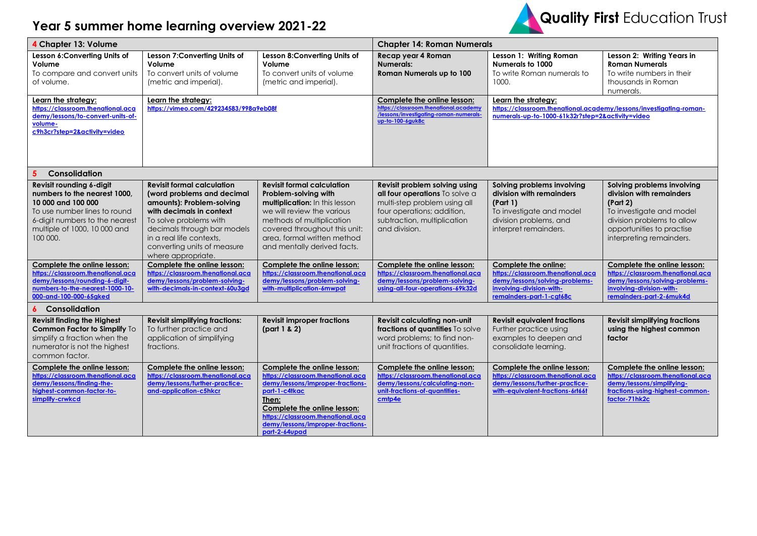## **Year 5 summer home learning overview 2021-22**



| 4 Chapter 13: Volume                                                                                                                                                                         |                                                                                                                                                                                                                                                                    | <b>Chapter 14: Roman Numerals</b>                                                                                                                                                                                                                       |                                                                                                                                                                               |                                                                                                                                                     |                                                                                                                                                                                       |
|----------------------------------------------------------------------------------------------------------------------------------------------------------------------------------------------|--------------------------------------------------------------------------------------------------------------------------------------------------------------------------------------------------------------------------------------------------------------------|---------------------------------------------------------------------------------------------------------------------------------------------------------------------------------------------------------------------------------------------------------|-------------------------------------------------------------------------------------------------------------------------------------------------------------------------------|-----------------------------------------------------------------------------------------------------------------------------------------------------|---------------------------------------------------------------------------------------------------------------------------------------------------------------------------------------|
| Lesson 6:Converting Units of<br>Volume<br>To compare and convert units<br>of volume.                                                                                                         | Lesson 7: Converting Units of<br>Volume<br>To convert units of volume<br>(metric and imperial).                                                                                                                                                                    | Lesson 8:Converting Units of<br>Volume<br>To convert units of volume<br>(metric and imperial).                                                                                                                                                          | Recap year 4 Roman<br><b>Numerals:</b><br>Roman Numerals up to 100                                                                                                            | Lesson 1: Writing Roman<br>Numerals to 1000<br>To write Roman numerals to<br>1000.                                                                  | Lesson 2: Writing Years in<br><b>Roman Numerals</b><br>To write numbers in their<br>thousands in Roman<br>numerals.                                                                   |
| Learn the strategy:<br>https://classroom.thenational.aca<br>demy/lessons/to-convert-units-of-<br>volume-<br>c9h3cr?step=2&activity=video                                                     | Learn the strategy:<br>https://vimeo.com/429234583/998a9eb08f                                                                                                                                                                                                      |                                                                                                                                                                                                                                                         | Complete the online lesson:<br>https://classroom.thenational.academy<br>/lessons/investigating-roman-numerals<br>up-to-100-6guk8c                                             | Learn the strategy:<br>https://classroom.thenational.academy/lessons/investigating-roman-<br>numerals-up-to-1000-61k32r?step=2&activity=video       |                                                                                                                                                                                       |
| Consolidation                                                                                                                                                                                |                                                                                                                                                                                                                                                                    |                                                                                                                                                                                                                                                         |                                                                                                                                                                               |                                                                                                                                                     |                                                                                                                                                                                       |
| Revisit rounding 6-digit<br>numbers to the nearest 1000,<br>10 000 and 100 000<br>To use number lines to round<br>6-digit numbers to the nearest<br>multiple of 1000, 10 000 and<br>100 000. | <b>Revisit formal calculation</b><br>(word problems and decimal<br>amounts): Problem-solving<br>with decimals in context<br>To solve problems with<br>decimals through bar models<br>in a real life contexts.<br>converting units of measure<br>where appropriate. | <b>Revisit formal calculation</b><br>Problem-solving with<br>multiplication: In this lesson<br>we will review the various<br>methods of multiplication<br>covered throughout this unit:<br>area, formal written method<br>and mentally derived facts.   | Revisit problem solving using<br>all four operations To solve a<br>multi-step problem using all<br>four operations; addition,<br>subtraction, multiplication<br>and division. | Solving problems involving<br>division with remainders<br>(Part 1)<br>To investigate and model<br>division problems, and<br>interpret remainders.   | Solving problems involving<br>division with remainders<br>(Part 2)<br>To investigate and model<br>division problems to allow<br>opportunities to practise<br>interpreting remainders. |
| Complete the online lesson:<br>https://classroom.thenational.aca<br>demy/lessons/rounding-6-digit-<br>numbers-to-the-nearest-1000-10-<br>000-and-100-000-65gked                              | Complete the online lesson:<br>https://classroom.thenational.aca<br>demy/lessons/problem-solving-<br>with-decimals-in-context-60u3gd                                                                                                                               | Complete the online lesson:<br>https://classroom.thenational.aca<br>demy/lessons/problem-solving-<br>with-multiplication-6mwpat                                                                                                                         | Complete the online lesson:<br>https://classroom.thenational.aca<br>demy/lessons/problem-solving-<br>using-all-four-operations-69k32d                                         | Complete the online:<br>https://classroom.thenational.aca<br>demy/lessons/solving-problems-<br>involving-division-with-<br>remainders-part-1-cgt68c | Complete the online lesson:<br>https://classroom.thenational.aca<br>demy/lessons/solving-problems-<br>involving-division-with-<br>remainders-part-2-6muk4d                            |
| Consolidation                                                                                                                                                                                |                                                                                                                                                                                                                                                                    |                                                                                                                                                                                                                                                         |                                                                                                                                                                               |                                                                                                                                                     |                                                                                                                                                                                       |
| <b>Revisit finding the Highest</b><br>Common Factor to Simplify To<br>simplify a fraction when the<br>numerator is not the highest<br>common factor.                                         | <b>Revisit simplifying fractions:</b><br>To further practice and<br>application of simplifying<br>fractions.                                                                                                                                                       | <b>Revisit improper fractions</b><br>part 1 & 2)                                                                                                                                                                                                        | <b>Revisit calculating non-unit</b><br>fractions of quantities To solve<br>word problems; to find non-<br>unit fractions of quantities.                                       | <b>Revisit equivalent fractions</b><br>Further practice using<br>examples to deepen and<br>consolidate learning.                                    | <b>Revisit simplifying fractions</b><br>using the highest common<br>factor                                                                                                            |
| Complete the online lesson:<br>https://classroom.thenational.aca<br>demy/lessons/finding-the-<br>highest-common-factor-to-<br>simplify-crwkcd                                                | Complete the online lesson:<br>https://classroom.thenational.aca<br>demy/lessons/further-practice-<br>and-application-c5hkcr                                                                                                                                       | Complete the online lesson:<br>https://classroom.thenational.aca<br>demy/lessons/improper-fractions-<br>part-1-c4tkac<br>Then:<br>Complete the online lesson:<br>https://classroom.thenational.aca<br>demy/lessons/improper-fractions-<br>part-2-64upad | Complete the online lesson:<br>https://classroom.thenational.aca<br>demy/lessons/calculating-non-<br>unit-fractions-of-quantities-<br>cmtp4e                                  | Complete the online lesson:<br>https://classroom.thenational.aca<br>demy/lessons/further-practice-<br>with-equivalent-fractions-6rt66t              | Complete the online lesson:<br>https://classroom.thenational.aca<br>demy/lessons/simplifying-<br>fractions-using-highest-common-<br>factor-71hk2c                                     |